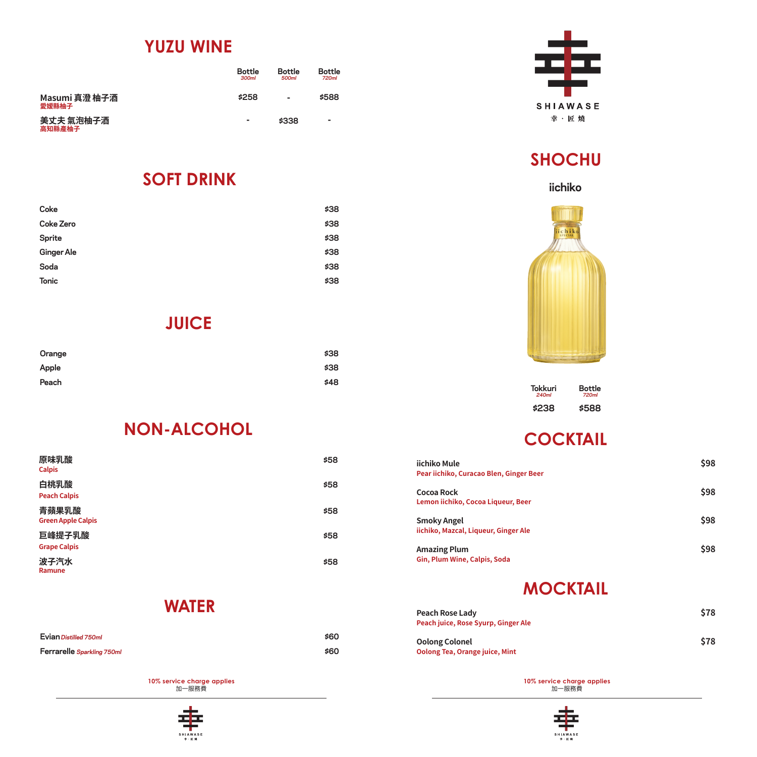### **YUZU WINE**

|                        | <b>Bottle</b><br>300ml | <b>Bottle</b><br>500ml | <b>Bottle</b><br>720ml |
|------------------------|------------------------|------------------------|------------------------|
| Masumi 真澄 柚子酒<br>愛媛縣柚子 | \$258                  | ۰                      | \$588                  |
| 美丈夫 氣泡柚子酒<br>高知縣產柚子    | -                      | \$338                  | -                      |

#### **SOFT DRINK**

| Coke              | \$38 |
|-------------------|------|
| <b>Coke Zero</b>  | \$38 |
| Sprite            | \$38 |
| <b>Ginger Ale</b> | \$38 |
| Soda              | \$38 |
| <b>Tonic</b>      | \$38 |
|                   |      |

### **JUICE**

| Orange | \$38 |
|--------|------|
| Apple  | \$38 |
| Peach  | \$48 |

# **NON-ALCOHOL**

| 原味乳酸<br><b>Calpis</b>              | \$58 |
|------------------------------------|------|
| 白桃乳酸<br><b>Peach Calpis</b>        | \$58 |
| 青蘋果乳酸<br><b>Green Apple Calpis</b> | \$58 |
| 巨峰提子乳酸<br><b>Grape Calpis</b>      | \$58 |
| 波子汽水<br>Ramune                     | \$58 |

### **WATER**

| Evian Distilled 750ml      | \$60 |
|----------------------------|------|
| Ferrarelle Sparkling 750ml | \$60 |

**10% service charge applies**  加一服務費





# **SHOCHU**

### **iichiko**



| Tokkuri | Bottle |
|---------|--------|
| 240ml   | 720ml  |
| \$238   | \$588  |

# **COCKTAIL**

| iichiko Mule<br>Pear iichiko, Curacao Blen, Ginger Beer    | \$98 |
|------------------------------------------------------------|------|
| Cocoa Rock<br>Lemon iichiko, Cocoa Liqueur, Beer           | \$98 |
| <b>Smoky Angel</b><br>iichiko, Mazcal, Liqueur, Ginger Ale | \$98 |
| <b>Amazing Plum</b><br>Gin, Plum Wine, Calpis, Soda        | \$98 |

## **MOCKTAIL**

| Peach Rose Lady<br>Peach juice, Rose Syurp, Ginger Ale         | \$78 |
|----------------------------------------------------------------|------|
| <b>Oolong Colonel</b><br><b>Oolong Tea, Orange juice, Mint</b> | \$78 |

**10% service charge applies**  加一服務費